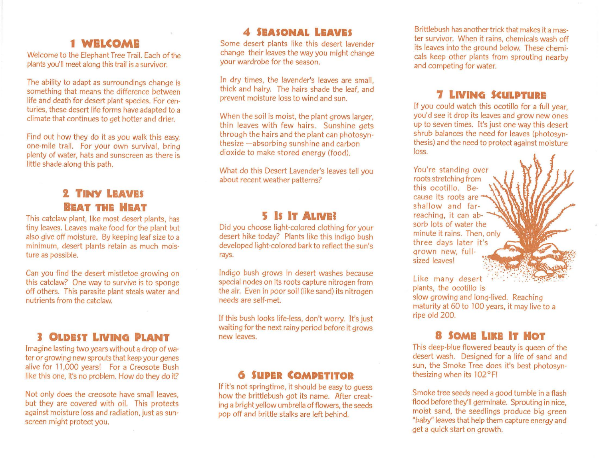## **1 WELCOME**

Welcome to the Elephant Tree Trail. Each of the plants you'll meet along this trail is a survivor.

The ability to adapt as surroundings change is something that means the difference between life and death for desert plant species. For centuries, these desert life forms have adapted to a climate that continues to get hotter and drier.

Find out how they do it as you walk this easy, one-mile trail. For your own survival, bring plenty of water, hats and sunscreen as there is little shade along this path.

### **TINY LEAVES BEAT THE HEAT**

This catclaw plant, like most desert plants, has tiny leaves. Leaves make food for the plant but also give off moisture. By keeping leaf size to a minimum, desert plants retain as much moisture as possible.

Can you find the desert mistletoe growing on this catclaw? One way to survive is to sponge off others. This parasite plant steals water and nutrients from the catclaw.

# **J OLDEST LNING PLANT**

Imagine lasting two years without a drop of water or growing new sprouts that keep your genes alive for 11,000 years! For a Creosote Bush like this one, it's no problem. How do they do it?

Not only does the creosote have small leaves, but they are covered with oil. This protects against moisture loss and radiation, just as sunscreen might protect you.

# **4 SEASONAL LEAVES**

Some desert plants like this desert lavender change their leaves the way you might change your wardrobe for the season.

In dry times, the lavender's leaves are small. thick and hairy. The hairs shade the leaf, and prevent moisture loss to wind and sun.

When the soil is moist, the plant grows larger, thin leaves with few hairs. Sunshine gets through the hairs and the plant can photosynthesize -absorbing sunshine and carbon dioxide to make stored energy (food).

What do this Desert Lavender's leaves tell you about recent weather patterns?

# **5 IS IT ALNEJ**

Did you choose light-colored clothing for your desert hike today? Plants like this indigo bush developed li9ht-colored bark to reflect the sun's rays.

Indigo bush grows in desert washes because special nodes on its roots capture nitrogen from the air. Even in poor soil (like sand) its nitrogen needs are self-met.

If this bush looks life-less, don't worry. It's just waiting for the next rainy period before it grows new leaves.

#### *6* **SUPER COMPETITOR**

If it's not springtime, it should be easy to quess how the brittlebush got its name. After creatind a bright yellow umbrella of flowers, the seeds pop off and brittle stalks are left behind.

Brittlebush has another trick that makes it a master survivor. When it rains, chemicals wash off its leaves into the ground below. These chemicals keep other plants from sprouting nearby and competing for water.

# **7 LNING SCULPTURE**

If you could watch this ocotillo for a full year, you'd see it drop its leaves and grow new ones up to seven times. It's just one way this desert shrub balances the need for leaves (photosynthesis) and the need to protect against moisture loss.

You're standing over roots stretching from this ocotillo. Because its roots are shallow and farreaching, it can absorb lots of water the minute it rains. Then, only three days later it's 9rown new, fullsized leaves!



Like many desert

plants, the ocotillo is slow growing and long-lived. Reaching maturity at 60 to 100 years, it may live to a ripe old 200.

#### **8 SOME LIKE IT HOT**

This deep-blue flowered beauty is queen of the desert wash. Designed for a life of sand and sun, the Smoke Tree does it's best photosynthesizing when its 102°F!

Smoke tree seeds need a good tumble in a flash flood before they'll germinate. Sprouting in nice, moist sand, the seedlings produce big green "baby" leaves that help them capture energy and get a quick start on growth.